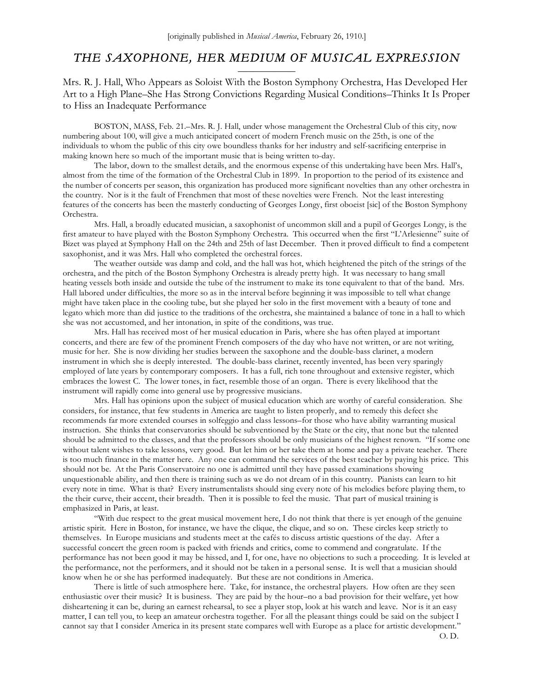# *THE SAXOPHONE, HER MEDIUM OF MUSICAL EXPRESSION*   $\frac{1}{\sqrt{2\pi}}$

Mrs. R. J. Hall, Who Appears as Soloist With the Boston Symphony Orchestra, Has Developed Her Art to a High Plane–She Has Strong Convictions Regarding Musical Conditions–Thinks It Is Proper to Hiss an Inadequate Performance

BOSTON, MASS, Feb. 21.–Mrs. R. J. Hall, under whose management the Orchestral Club of this city, now numbering about 100, will give a much anticipated concert of modern French music on the 25th, is one of the individuals to whom the public of this city owe boundless thanks for her industry and self-sacrificing enterprise in making known here so much of the important music that is being written to-day.

The labor, down to the smallest details, and the enormous expense of this undertaking have been Mrs. Hall's, almost from the time of the formation of the Orchestral Club in 1899. In proportion to the period of its existence and the number of concerts per season, this organization has produced more significant novelties than any other orchestra in the country. Nor is it the fault of Frenchmen that most of these novelties were French. Not the least interesting features of the concerts has been the masterly conducting of Georges Longy, first oboeist [sic] of the Boston Symphony Orchestra.

Mrs. Hall, a broadly educated musician, a saxophonist of uncommon skill and a pupil of Georges Longy, is the first amateur to have played with the Boston Symphony Orchestra. This occurred when the first "L'Arlesienne" suite of Bizet was played at Symphony Hall on the 24th and 25th of last December. Then it proved difficult to find a competent saxophonist, and it was Mrs. Hall who completed the orchestral forces.

The weather outside was damp and cold, and the hall was hot, which heightened the pitch of the strings of the orchestra, and the pitch of the Boston Symphony Orchestra is already pretty high. It was necessary to hang small heating vessels both inside and outside the tube of the instrument to make its tone equivalent to that of the band. Mrs. Hall labored under difficulties, the more so as in the interval before beginning it was impossible to tell what change might have taken place in the cooling tube, but she played her solo in the first movement with a beauty of tone and legato which more than did justice to the traditions of the orchestra, she maintained a balance of tone in a hall to which she was not accustomed, and her intonation, in spite of the conditions, was true.

Mrs. Hall has received most of her musical education in Paris, where she has often played at important concerts, and there are few of the prominent French composers of the day who have not written, or are not writing, music for her. She is now dividing her studies between the saxophone and the double-bass clarinet, a modern instrument in which she is deeply interested. The double-bass clarinet, recently invented, has been very sparingly employed of late years by contemporary composers. It has a full, rich tone throughout and extensive register, which embraces the lowest C. The lower tones, in fact, resemble those of an organ. There is every likelihood that the instrument will rapidly come into general use by progressive musicians.

Mrs. Hall has opinions upon the subject of musical education which are worthy of careful consideration. She considers, for instance, that few students in America are taught to listen properly, and to remedy this defect she recommends far more extended courses in solfeggio and class lessons–for those who have ability warranting musical instruction. She thinks that conservatories should be subventioned by the State or the city, that none but the talented should be admitted to the classes, and that the professors should be only musicians of the highest renown. "If some one without talent wishes to take lessons, very good. But let him or her take them at home and pay a private teacher. There is too much finance in the matter here. Any one can command the services of the best teacher by paying his price. This should not be. At the Paris Conservatoire no one is admitted until they have passed examinations showing unquestionable ability, and then there is training such as we do not dream of in this country. Pianists can learn to hit every note in time. What is that? Every instrumentalists should sing every note of his melodies before playing them, to the their curve, their accent, their breadth. Then it is possible to feel the music. That part of musical training is emphasized in Paris, at least.

"With due respect to the great musical movement here, I do not think that there is yet enough of the genuine artistic spirit. Here in Boston, for instance, we have the clique, the clique, and so on. These circles keep strictly to themselves. In Europe musicians and students meet at the cafés to discuss artistic questions of the day. After a successful concert the green room is packed with friends and critics, come to commend and congratulate. If the performance has not been good it may be hissed, and I, for one, have no objections to such a proceeding. It is leveled at the performance, not the performers, and it should not be taken in a personal sense. It is well that a musician should know when he or she has performed inadequately. But these are not conditions in America.

There is little of such atmosphere here. Take, for instance, the orchestral players. How often are they seen enthusiastic over their music? It is business. They are paid by the hour–no a bad provision for their welfare, yet how disheartening it can be, during an earnest rehearsal, to see a player stop, look at his watch and leave. Nor is it an easy matter, I can tell you, to keep an amateur orchestra together. For all the pleasant things could be said on the subject I cannot say that I consider America in its present state compares well with Europe as a place for artistic development."